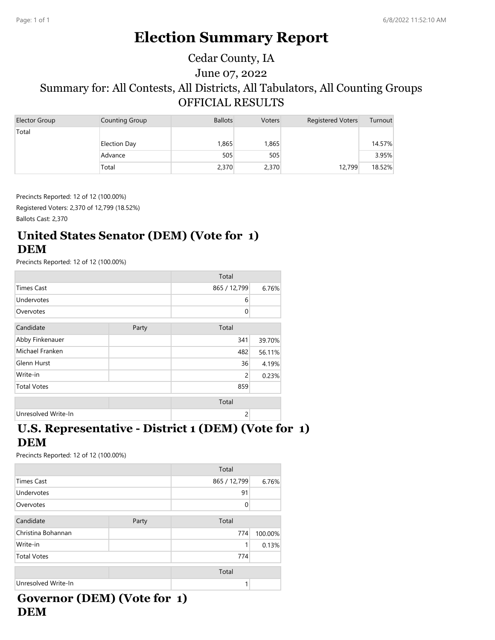# **Election Summary Report**

# June 07, 2022 Summary for: All Contests, All Districts, All Tabulators, All Counting Groups OFFICIAL RESULTS Cedar County, IA

| Elector Group | Counting Group      | <b>Ballots</b> | <b>Voters</b> | <b>Registered Voters</b> | Turnout |
|---------------|---------------------|----------------|---------------|--------------------------|---------|
| Total         |                     |                |               |                          |         |
|               | <b>Election Day</b> | 1,865          | 1,865         |                          | 14.57%  |
|               | Advance             | 505            | 505           |                          | 3.95%   |
|               | Total               | 2,370          | 2,370         | 12,799                   | 18.52%  |

Precincts Reported: 12 of 12 (100.00%)

Registered Voters: 2,370 of 12,799 (18.52%) Ballots Cast: 2,370

# **United States Senator (DEM) (Vote for 1) DEM**

Precincts Reported: 12 of 12 (100.00%)

|                     |       | Total          |        |
|---------------------|-------|----------------|--------|
| <b>Times Cast</b>   |       | 865 / 12,799   | 6.76%  |
| Undervotes          |       | 6              |        |
| Overvotes           |       | 0              |        |
| Candidate           | Party | Total          |        |
| Abby Finkenauer     |       | 341            | 39.70% |
| Michael Franken     |       | 482            | 56.11% |
| Glenn Hurst         |       | 36             | 4.19%  |
| Write-in            |       | $\overline{c}$ | 0.23%  |
| <b>Total Votes</b>  |       | 859            |        |
|                     |       | Total          |        |
| Unresolved Write-In |       | $\overline{c}$ |        |

# **U.S. Representative - District 1 (DEM) (Vote for 1) DEM**

Precincts Reported: 12 of 12 (100.00%)

|                     |       | Total        |         |
|---------------------|-------|--------------|---------|
| <b>Times Cast</b>   |       | 865 / 12,799 | 6.76%   |
| Undervotes          |       | 91           |         |
| Overvotes           |       | $\Omega$     |         |
| Candidate           | Party | Total        |         |
| Christina Bohannan  |       | 774          | 100.00% |
| Write-in            |       |              | 0.13%   |
| <b>Total Votes</b>  |       | 774          |         |
|                     |       | Total        |         |
| Unresolved Write-In |       |              |         |

## **Governor (DEM) (Vote for 1) DEM**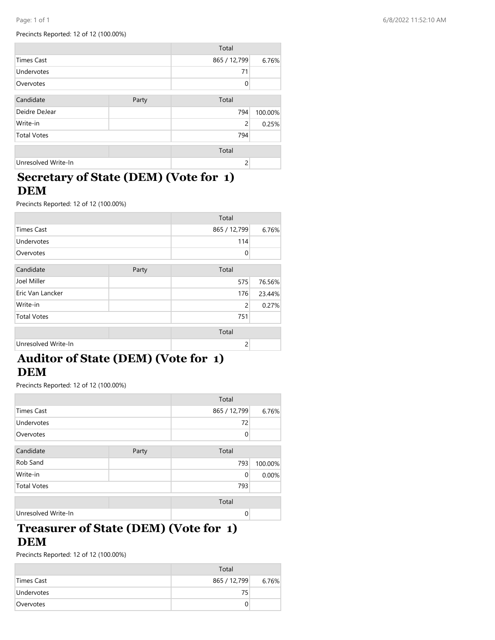#### Precincts Reported: 12 of 12 (100.00%)

|                     |       | Total          |         |
|---------------------|-------|----------------|---------|
| <b>Times Cast</b>   |       | 865 / 12,799   | 6.76%   |
| Undervotes          |       | 71             |         |
| Overvotes           |       | $\Omega$       |         |
| Candidate           | Party | Total          |         |
| Deidre DeJear       |       | 794            | 100.00% |
| Write-in            |       | $\overline{c}$ | 0.25%   |
| <b>Total Votes</b>  |       | 794            |         |
|                     |       | Total          |         |
| Unresolved Write-In |       | $\overline{c}$ |         |

# **Secretary of State (DEM) (Vote for 1) DEM**

Precincts Reported: 12 of 12 (100.00%)

|                     |       | Total          |        |
|---------------------|-------|----------------|--------|
| <b>Times Cast</b>   |       | 865 / 12,799   | 6.76%  |
| Undervotes          |       | 114            |        |
| Overvotes           |       | $\Omega$       |        |
| Candidate           | Party | Total          |        |
| Joel Miller         |       | 575            | 76.56% |
| Eric Van Lancker    |       | 176            | 23.44% |
| Write-in            |       | $\overline{c}$ | 0.27%  |
| <b>Total Votes</b>  |       | 751            |        |
|                     |       | Total          |        |
| Unresolved Write-In |       | $\overline{c}$ |        |

# **Auditor of State (DEM) (Vote for 1) DEM**

Precincts Reported: 12 of 12 (100.00%)

|                     |       | Total        |         |
|---------------------|-------|--------------|---------|
| <b>Times Cast</b>   |       | 865 / 12,799 | 6.76%   |
| Undervotes          |       | 72           |         |
| Overvotes           |       | $\Omega$     |         |
| Candidate           | Party | Total        |         |
| Rob Sand            |       | 793          | 100.00% |
| Write-in            |       | $\mathbf 0$  | 0.00%   |
| <b>Total Votes</b>  |       | 793          |         |
|                     |       | Total        |         |
| Unresolved Write-In |       | $\Omega$     |         |

#### **Treasurer of State (DEM) (Vote for 1) DEM**

|                   | Total        |       |
|-------------------|--------------|-------|
| Times Cast        | 865 / 12,799 | 6.76% |
| <b>Undervotes</b> | 75           |       |
| Overvotes         |              |       |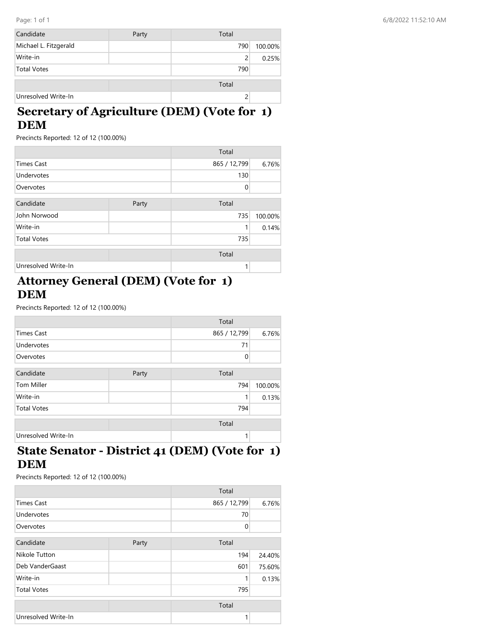| Candidate             | Party | Total |         |
|-----------------------|-------|-------|---------|
| Michael L. Fitzgerald |       | 790   | 100.00% |
| Write-in              |       | 2     | 0.25%   |
| <b>Total Votes</b>    |       | 790   |         |
|                       |       | Total |         |
| Unresolved Write-In   |       |       |         |

# **Secretary of Agriculture (DEM) (Vote for 1) DEM**

Precincts Reported: 12 of 12 (100.00%)

|                     |       | Total        |         |
|---------------------|-------|--------------|---------|
| <b>Times Cast</b>   |       | 865 / 12,799 | 6.76%   |
| Undervotes          |       | 130          |         |
| Overvotes           |       | $\mathbf 0$  |         |
| Candidate           | Party | Total        |         |
| John Norwood        |       | 735          | 100.00% |
| Write-in            |       | 1            | 0.14%   |
| <b>Total Votes</b>  |       | 735          |         |
|                     |       | Total        |         |
| Unresolved Write-In |       | 1            |         |

# **Attorney General (DEM) (Vote for 1) DEM**

Precincts Reported: 12 of 12 (100.00%)

|                     |       | Total        |         |
|---------------------|-------|--------------|---------|
| <b>Times Cast</b>   |       | 865 / 12,799 | 6.76%   |
| Undervotes          |       | 71           |         |
| Overvotes           |       | 0            |         |
| Candidate           |       | Total        |         |
|                     | Party |              |         |
| Tom Miller          |       | 794          | 100.00% |
| Write-in            |       | 1            | 0.13%   |
| <b>Total Votes</b>  |       | 794          |         |
|                     |       | Total        |         |
| Unresolved Write-In |       | 1            |         |

### **State Senator - District 41 (DEM) (Vote for 1) DEM**

|                     |       | Total        |        |
|---------------------|-------|--------------|--------|
| <b>Times Cast</b>   |       | 865 / 12,799 | 6.76%  |
| Undervotes          |       | 70           |        |
| Overvotes           |       | $\Omega$     |        |
| Candidate           | Party | Total        |        |
| Nikole Tutton       |       | 194          | 24.40% |
| Deb VanderGaast     |       | 601          | 75.60% |
| Write-in            |       | 1            | 0.13%  |
| <b>Total Votes</b>  |       | 795          |        |
|                     |       | Total        |        |
| Unresolved Write-In |       | 1            |        |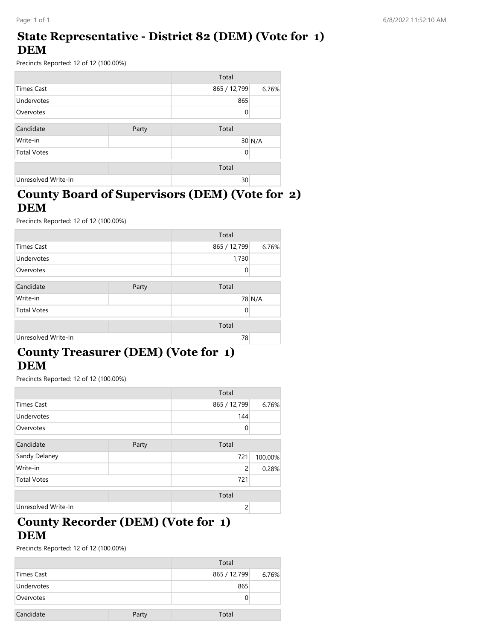### **State Representative - District 82 (DEM) (Vote for 1) DEM**

Precincts Reported: 12 of 12 (100.00%)

|                     |       | Total        |          |
|---------------------|-------|--------------|----------|
| <b>Times Cast</b>   |       | 865 / 12,799 | 6.76%    |
| Undervotes          |       | 865          |          |
| Overvotes           |       | 0            |          |
| Candidate           | Party | Total        |          |
| Write-in            |       |              | $30$ N/A |
| <b>Total Votes</b>  |       | 0            |          |
|                     |       | Total        |          |
| Unresolved Write-In |       | 30           |          |

#### **County Board of Supervisors (DEM) (Vote for 2) DEM**

Precincts Reported: 12 of 12 (100.00%)

|                     |       | Total        |        |
|---------------------|-------|--------------|--------|
| <b>Times Cast</b>   |       | 865 / 12,799 | 6.76%  |
| Undervotes          |       | 1,730        |        |
| Overvotes           |       | 0            |        |
| Candidate           | Party | Total        |        |
| Write-in            |       |              | 78 N/A |
| <b>Total Votes</b>  |       | $\Omega$     |        |
|                     |       | Total        |        |
| Unresolved Write-In |       | 78           |        |

#### **County Treasurer (DEM) (Vote for 1) DEM**

Precincts Reported: 12 of 12 (100.00%)

|                     |       | Total          |         |
|---------------------|-------|----------------|---------|
| <b>Times Cast</b>   |       | 865 / 12,799   | 6.76%   |
| Undervotes          |       | 144            |         |
| Overvotes           |       | 0              |         |
| Candidate           | Party | Total          |         |
| Sandy Delaney       |       | 721            | 100.00% |
| Write-in            |       | $\overline{2}$ | 0.28%   |
| <b>Total Votes</b>  |       | 721            |         |
|                     |       | Total          |         |
| Unresolved Write-In |       | 2              |         |

### **County Recorder (DEM) (Vote for 1) DEM**

|            |       | Total        |       |
|------------|-------|--------------|-------|
| Times Cast |       | 865 / 12,799 | 6.76% |
| Undervotes |       | 865          |       |
| Overvotes  |       |              |       |
| Candidate  | Party | Total        |       |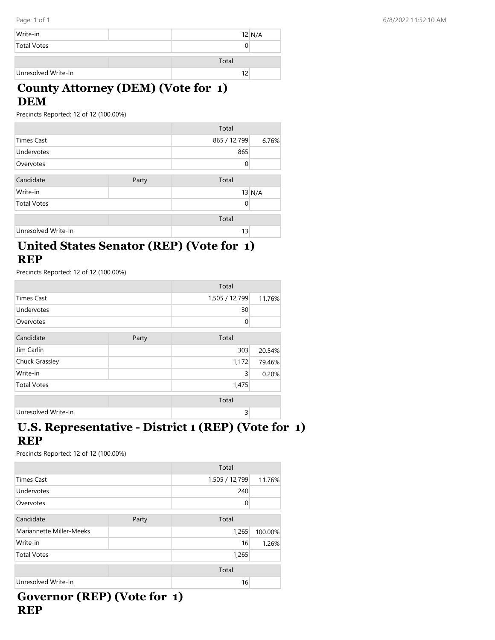| Write-in            | $12$ N/A |
|---------------------|----------|
| <b>Total Votes</b>  |          |
|                     | Total    |
| Unresolved Write-In | 12       |

# **County Attorney (DEM) (Vote for 1) DEM**

Precincts Reported: 12 of 12 (100.00%)

|                     |       | Total        |          |
|---------------------|-------|--------------|----------|
| <b>Times Cast</b>   |       | 865 / 12,799 | 6.76%    |
| Undervotes          |       | 865          |          |
| Overvotes           |       | $\Omega$     |          |
| Candidate           | Party | Total        |          |
| Write-in            |       |              | $13$ N/A |
| <b>Total Votes</b>  |       | $\Omega$     |          |
|                     |       | Total        |          |
| Unresolved Write-In |       | 13           |          |

### **United States Senator (REP) (Vote for 1) REP**

Precincts Reported: 12 of 12 (100.00%)

|                     |       | Total          |        |
|---------------------|-------|----------------|--------|
| <b>Times Cast</b>   |       | 1,505 / 12,799 | 11.76% |
| Undervotes          |       | 30             |        |
| Overvotes           |       | 0              |        |
| Candidate           | Party | Total          |        |
| Jim Carlin          |       | 303            | 20.54% |
| Chuck Grassley      |       | 1,172          | 79.46% |
| Write-in            |       | 3              | 0.20%  |
| <b>Total Votes</b>  |       | 1,475          |        |
|                     |       | Total          |        |
| Unresolved Write-In |       | 3              |        |

# **U.S. Representative - District 1 (REP) (Vote for 1) REP**

Precincts Reported: 12 of 12 (100.00%)

|                          |       | Total          |         |
|--------------------------|-------|----------------|---------|
| <b>Times Cast</b>        |       | 1,505 / 12,799 | 11.76%  |
| Undervotes               |       | 240            |         |
| Overvotes                |       | $\Omega$       |         |
| Candidate                | Party | Total          |         |
| Mariannette Miller-Meeks |       | 1,265          | 100.00% |
| Write-in                 |       | 16             | 1.26%   |
| <b>Total Votes</b>       |       | 1,265          |         |
|                          |       | Total          |         |
| Unresolved Write-In      |       | 16             |         |

# **Governor (REP) (Vote for 1) REP**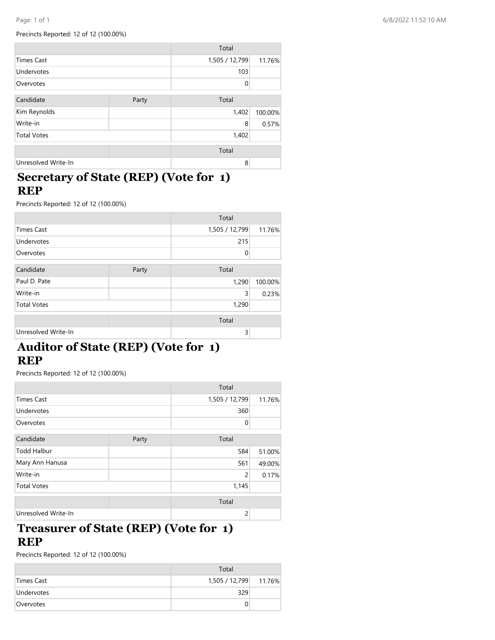Precincts Reported: 12 of 12 (100.00%)

|                     |       | Total          |         |
|---------------------|-------|----------------|---------|
| <b>Times Cast</b>   |       | 1,505 / 12,799 | 11.76%  |
| Undervotes          |       | 103            |         |
| Overvotes           |       | $\Omega$       |         |
| Candidate           | Party | Total          |         |
| Kim Reynolds        |       | 1,402          | 100.00% |
| Write-in            |       | 8              | 0.57%   |
| <b>Total Votes</b>  |       | 1,402          |         |
|                     |       | Total          |         |
| Unresolved Write-In |       | 8              |         |

#### **Secretary of State (REP) (Vote for 1) REP**

Precincts Reported: 12 of 12 (100.00%)

|                     |       | Total          |         |
|---------------------|-------|----------------|---------|
| <b>Times Cast</b>   |       | 1,505 / 12,799 | 11.76%  |
| Undervotes          |       | 215            |         |
| Overvotes           |       | 0              |         |
| Candidate           | Party | Total          |         |
| Paul D. Pate        |       | 1,290          | 100.00% |
| Write-in            |       | 3              | 0.23%   |
| <b>Total Votes</b>  |       | 1,290          |         |
|                     |       | Total          |         |
| Unresolved Write-In |       | 3              |         |

# **Auditor of State (REP) (Vote for 1) REP**

Precincts Reported: 12 of 12 (100.00%)

|                     |       | Total          |        |
|---------------------|-------|----------------|--------|
| <b>Times Cast</b>   |       | 1,505 / 12,799 | 11.76% |
| Undervotes          |       | 360            |        |
| Overvotes           |       | 0              |        |
| Candidate           | Party | Total          |        |
| <b>Todd Halbur</b>  |       | 584            | 51.00% |
| Mary Ann Hanusa     |       | 561            | 49.00% |
| Write-in            |       | $\overline{2}$ | 0.17%  |
| <b>Total Votes</b>  |       | 1,145          |        |
|                     |       | Total          |        |
| Unresolved Write-In |       | $\overline{c}$ |        |

#### **Treasurer of State (REP) (Vote for 1) REP**

|                   | Total                 |  |
|-------------------|-----------------------|--|
| Times Cast        | 1,505 / 12,799 11.76% |  |
| <b>Undervotes</b> | 329                   |  |
| Overvotes         |                       |  |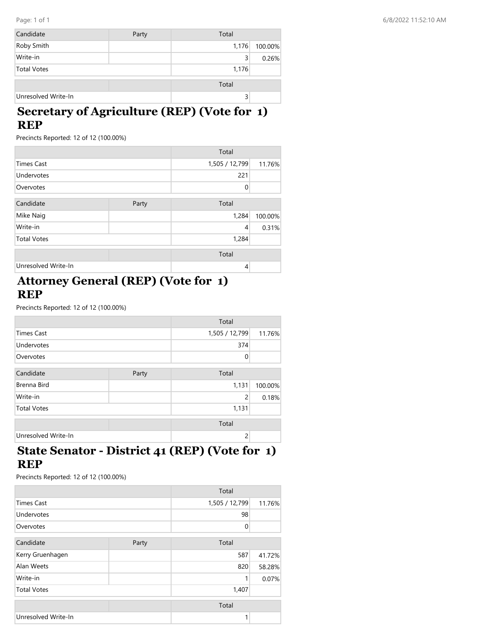| Candidate           | Party | Total |         |
|---------------------|-------|-------|---------|
| Roby Smith          |       | 1,176 | 100.00% |
| Write-in            |       | 3     | 0.26%   |
| <b>Total Votes</b>  |       | 1,176 |         |
|                     |       | Total |         |
| Unresolved Write-In |       | 3     |         |

# **Secretary of Agriculture (REP) (Vote for 1) REP**

Precincts Reported: 12 of 12 (100.00%)

|                     |       | Total          |         |
|---------------------|-------|----------------|---------|
| <b>Times Cast</b>   |       | 1,505 / 12,799 | 11.76%  |
| Undervotes          |       | 221            |         |
| Overvotes           |       | $\mathbf 0$    |         |
| Candidate           | Party | Total          |         |
| Mike Naig           |       | 1,284          | 100.00% |
| Write-in            |       | $\overline{4}$ | 0.31%   |
| <b>Total Votes</b>  |       | 1,284          |         |
|                     |       | Total          |         |
| Unresolved Write-In |       | $\overline{4}$ |         |

# **Attorney General (REP) (Vote for 1) REP**

Precincts Reported: 12 of 12 (100.00%)

|                     |       | Total          |         |
|---------------------|-------|----------------|---------|
| <b>Times Cast</b>   |       | 1,505 / 12,799 | 11.76%  |
| Undervotes          |       | 374            |         |
| Overvotes           |       | $\Omega$       |         |
|                     |       |                |         |
| Candidate           | Party | Total          |         |
| Brenna Bird         |       | 1,131          | 100.00% |
| Write-in            |       | $\overline{c}$ | 0.18%   |
| <b>Total Votes</b>  |       | 1,131          |         |
|                     |       | Total          |         |
| Unresolved Write-In |       | $\overline{c}$ |         |
|                     |       |                |         |

### **State Senator - District 41 (REP) (Vote for 1) REP**

|                     |       | Total          |        |
|---------------------|-------|----------------|--------|
| <b>Times Cast</b>   |       | 1,505 / 12,799 | 11.76% |
| Undervotes          |       | 98             |        |
| Overvotes           |       | $\Omega$       |        |
| Candidate           | Party | Total          |        |
| Kerry Gruenhagen    |       | 587            | 41.72% |
| Alan Weets          |       | 820            | 58.28% |
| Write-in            |       | 1              | 0.07%  |
| <b>Total Votes</b>  |       | 1,407          |        |
|                     |       | Total          |        |
| Unresolved Write-In |       | 1              |        |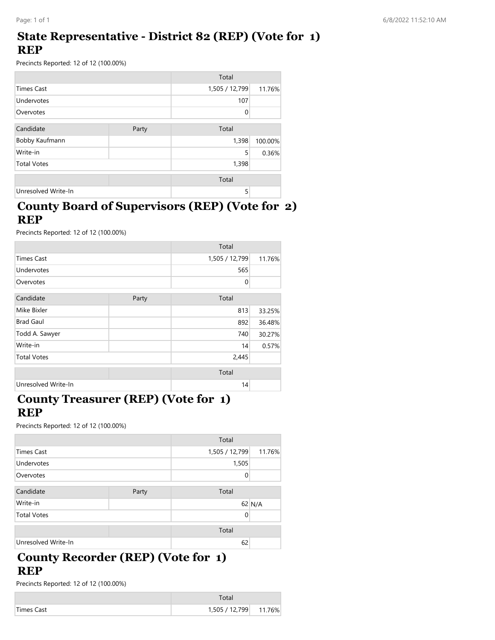#### **State Representative - District 82 (REP) (Vote for 1) REP**

Precincts Reported: 12 of 12 (100.00%)

|                     |       | Total          |         |
|---------------------|-------|----------------|---------|
| <b>Times Cast</b>   |       | 1,505 / 12,799 | 11.76%  |
| Undervotes          |       | 107            |         |
| Overvotes           |       | 0              |         |
| Candidate           | Party | Total          |         |
| Bobby Kaufmann      |       | 1,398          | 100.00% |
| Write-in            |       | 5              | 0.36%   |
| <b>Total Votes</b>  |       | 1,398          |         |
|                     |       | Total          |         |
| Unresolved Write-In |       | 5              |         |

#### **County Board of Supervisors (REP) (Vote for 2) REP**

Precincts Reported: 12 of 12 (100.00%)

|                     |       | Total          |        |
|---------------------|-------|----------------|--------|
| <b>Times Cast</b>   |       | 1,505 / 12,799 | 11.76% |
| Undervotes          |       | 565            |        |
| Overvotes           |       | 0              |        |
| Candidate           | Party | Total          |        |
| Mike Bixler         |       | 813            | 33.25% |
| <b>Brad Gaul</b>    |       | 892            | 36.48% |
| Todd A. Sawyer      |       | 740            | 30.27% |
| Write-in            |       | 14             | 0.57%  |
| <b>Total Votes</b>  |       | 2,445          |        |
|                     |       | Total          |        |
| Unresolved Write-In |       | 14             |        |

### **County Treasurer (REP) (Vote for 1) REP**

Precincts Reported: 12 of 12 (100.00%)

|                     |       | Total          |        |
|---------------------|-------|----------------|--------|
| <b>Times Cast</b>   |       | 1,505 / 12,799 | 11.76% |
| Undervotes          |       | 1,505          |        |
| Overvotes           |       | 0              |        |
| Candidate           | Party | Total          |        |
| Write-in            |       |                | 62 N/A |
| <b>Total Votes</b>  |       | 0              |        |
|                     |       | Total          |        |
| Unresolved Write-In |       | 62             |        |

#### **County Recorder (REP) (Vote for 1) REP**

| Times Cast | 1,505 / 12,799 | 11.76% |
|------------|----------------|--------|